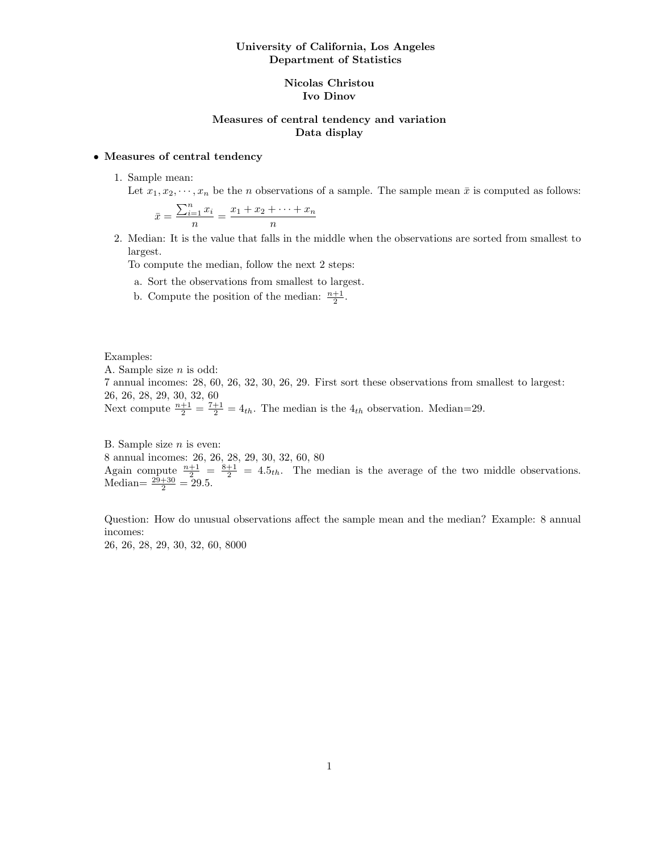## University of California, Los Angeles Department of Statistics

#### Nicolas Christou Ivo Dinov

## Measures of central tendency and variation Data display

#### • Measures of central tendency

- 1. Sample mean:
	- Let  $x_1, x_2, \dots, x_n$  be the n observations of a sample. The sample mean  $\bar{x}$  is computed as follows:

$$
\bar{x} = \frac{\sum_{i=1}^{n} x_i}{n} = \frac{x_1 + x_2 + \dots + x_n}{n}
$$

- 2. Median: It is the value that falls in the middle when the observations are sorted from smallest to largest.
	- To compute the median, follow the next 2 steps:
	- a. Sort the observations from smallest to largest.
	- b. Compute the position of the median:  $\frac{n+1}{2}$ .

Examples:

A. Sample size n is odd: 7 annual incomes: 28, 60, 26, 32, 30, 26, 29. First sort these observations from smallest to largest: 26, 26, 28, 29, 30, 32, 60 Next compute  $\frac{n+1}{2} = \frac{7+1}{2} = 4_{th}$ . The median is the  $4_{th}$  observation. Median=29.

B. Sample size  $n$  is even: 8 annual incomes: 26, 26, 28, 29, 30, 32, 60, 80 Again compute  $\frac{n+1}{2} = \frac{8+1}{2} = 4.5_{th}$ . The median is the average of the two middle observations. Median= $\frac{29+30}{2} = 29.5$ .

Question: How do unusual observations affect the sample mean and the median? Example: 8 annual incomes:

26, 26, 28, 29, 30, 32, 60, 8000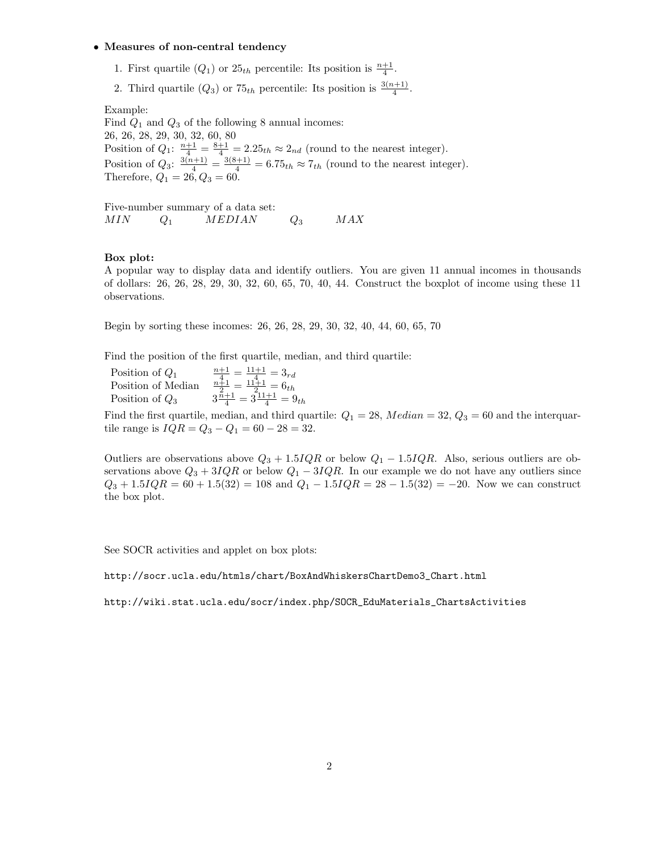#### • Measures of non-central tendency

- 1. First quartile  $(Q_1)$  or  $25<sub>th</sub>$  percentile: Its position is  $\frac{n+1}{4}$ .
- 2. Third quartile  $(Q_3)$  or  $75<sub>th</sub>$  percentile: Its position is  $\frac{3(n+1)}{4}$ .

Example:

Find  $Q_1$  and  $Q_3$  of the following 8 annual incomes: 26, 26, 28, 29, 30, 32, 60, 80 Position of  $Q_1$ :  $\frac{n+1}{4} = \frac{8+1}{4} = 2.25_{th} \approx 2_{nd}$  (round to the nearest integer). Position of  $Q_3$ :  $\frac{3(n+1)}{4} = \frac{3(8+1)}{4} = 6.75_{th} \approx 7_{th}$  (round to the nearest integer). Therefore,  $Q_1 = 26, Q_3 = 60$ .

Five-number summary of a data set:  $MIN \tQ_1$   $MEDIAN \tQ_3$   $MAX$ 

#### Box plot:

A popular way to display data and identify outliers. You are given 11 annual incomes in thousands of dollars: 26, 26, 28, 29, 30, 32, 60, 65, 70, 40, 44. Construct the boxplot of income using these 11 observations.

Begin by sorting these incomes: 26, 26, 28, 29, 30, 32, 40, 44, 60, 65, 70

Find the position of the first quartile, median, and third quartile:

Position of  $Q_1$   $\frac{n+1}{4} = \frac{11+1}{14} = 3_{rd}$ Position of Median  $\frac{n+1}{2} = \frac{11+1}{2} = 6_{th}$ Position of  $Q_3$   $3\frac{\tilde{n}+1}{4} = 3\frac{11+1}{4} = 9_{th}$ 

Find the first quartile, median, and third quartile:  $Q_1 = 28$ ,  $Median = 32$ ,  $Q_3 = 60$  and the interquartile range is  $IQR = Q_3 - Q_1 = 60 - 28 = 32$ .

Outliers are observations above  $Q_3 + 1.5IQR$  or below  $Q_1 - 1.5IQR$ . Also, serious outliers are observations above  $Q_3 + 3IQR$  or below  $Q_1 - 3IQR$ . In our example we do not have any outliers since  $Q_3 + 1.5IQR = 60 + 1.5(32) = 108$  and  $Q_1 - 1.5IQR = 28 - 1.5(32) = -20$ . Now we can construct the box plot.

See SOCR activities and applet on box plots:

http://socr.ucla.edu/htmls/chart/BoxAndWhiskersChartDemo3\_Chart.html

http://wiki.stat.ucla.edu/socr/index.php/SOCR\_EduMaterials\_ChartsActivities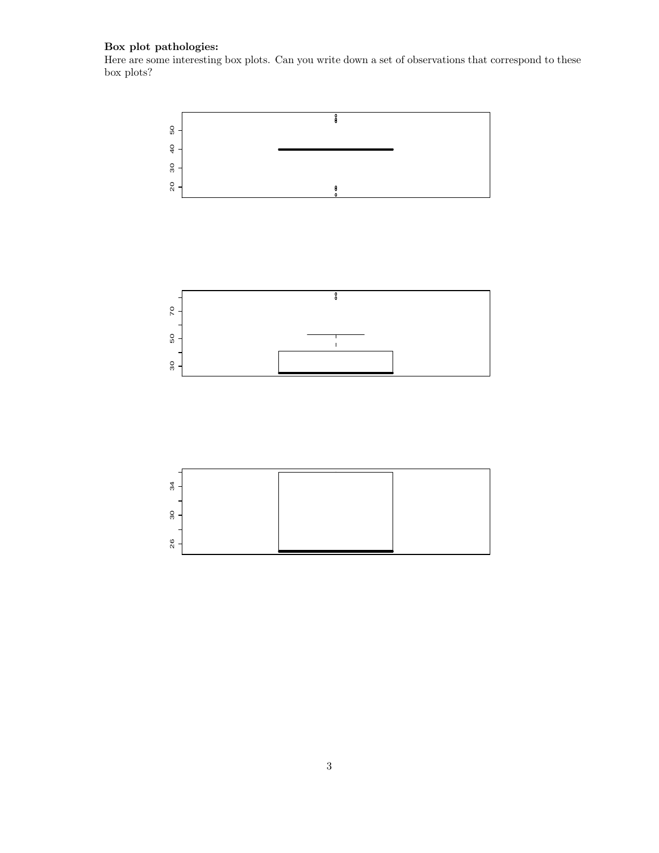# Box plot pathologies:

Here are some interesting box plots. Can you write down a set of observations that correspond to these box plots?



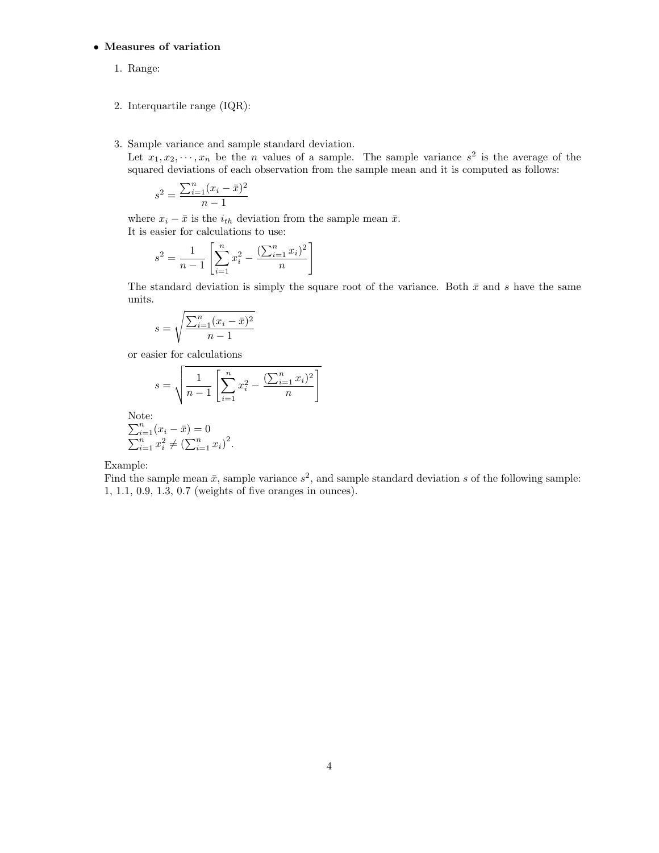#### • Measures of variation

- 1. Range:
- 2. Interquartile range (IQR):
- 3. Sample variance and sample standard deviation.
	- Let  $x_1, x_2, \dots, x_n$  be the *n* values of a sample. The sample variance  $s^2$  is the average of the squared deviations of each observation from the sample mean and it is computed as follows:

$$
s^{2} = \frac{\sum_{i=1}^{n} (x_{i} - \bar{x})^{2}}{n-1}
$$

where  $x_i - \bar{x}$  is the  $i_{th}$  deviation from the sample mean  $\bar{x}$ . It is easier for calculations to use:

$$
s^{2} = \frac{1}{n-1} \left[ \sum_{i=1}^{n} x_{i}^{2} - \frac{\left(\sum_{i=1}^{n} x_{i}\right)^{2}}{n} \right]
$$

The standard deviation is simply the square root of the variance. Both  $\bar{x}$  and s have the same units.

$$
s = \sqrt{\frac{\sum_{i=1}^{n} (x_i - \bar{x})^2}{n-1}}
$$

or easier for calculations

$$
s = \sqrt{\frac{1}{n-1} \left[ \sum_{i=1}^{n} x_i^2 - \frac{(\sum_{i=1}^{n} x_i)^2}{n} \right]}
$$

Note:  $\sum_{i=1}^{n} (x_i - \bar{x}) = 0$ 

$$
\sum_{i=1}^{n} x_i^2 \neq (\sum_{i=1}^{n} x_i)^2.
$$

Example:

Find the sample mean  $\bar{x}$ , sample variance  $s^2$ , and sample standard deviation s of the following sample: 1, 1.1, 0.9, 1.3, 0.7 (weights of five oranges in ounces).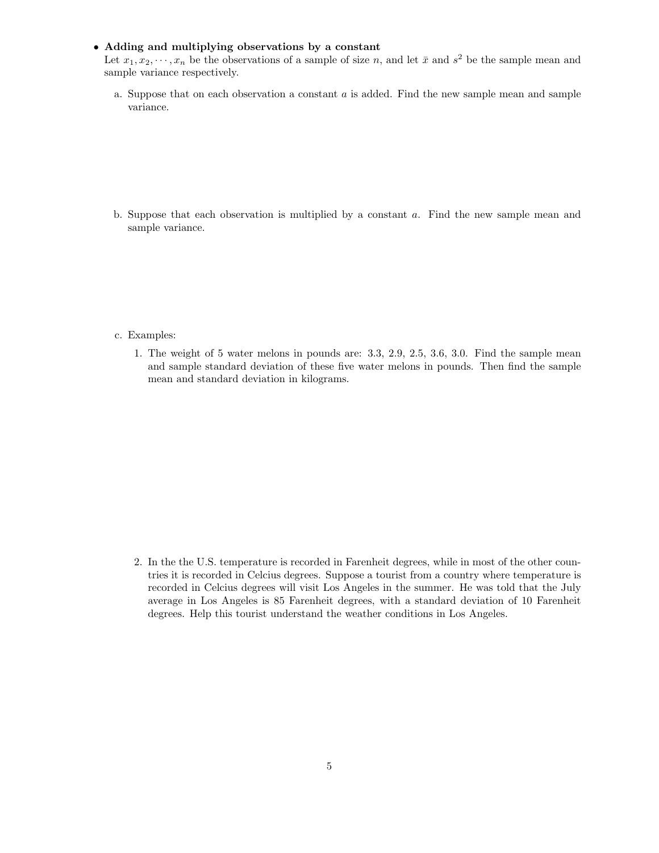## • Adding and multiplying observations by a constant

Let  $x_1, x_2, \dots, x_n$  be the observations of a sample of size n, and let  $\bar{x}$  and  $s^2$  be the sample mean and sample variance respectively.

a. Suppose that on each observation a constant  $a$  is added. Find the new sample mean and sample variance.

b. Suppose that each observation is multiplied by a constant a. Find the new sample mean and sample variance.

- c. Examples:
	- 1. The weight of 5 water melons in pounds are: 3.3, 2.9, 2.5, 3.6, 3.0. Find the sample mean and sample standard deviation of these five water melons in pounds. Then find the sample mean and standard deviation in kilograms.

2. In the the U.S. temperature is recorded in Farenheit degrees, while in most of the other countries it is recorded in Celcius degrees. Suppose a tourist from a country where temperature is recorded in Celcius degrees will visit Los Angeles in the summer. He was told that the July average in Los Angeles is 85 Farenheit degrees, with a standard deviation of 10 Farenheit degrees. Help this tourist understand the weather conditions in Los Angeles.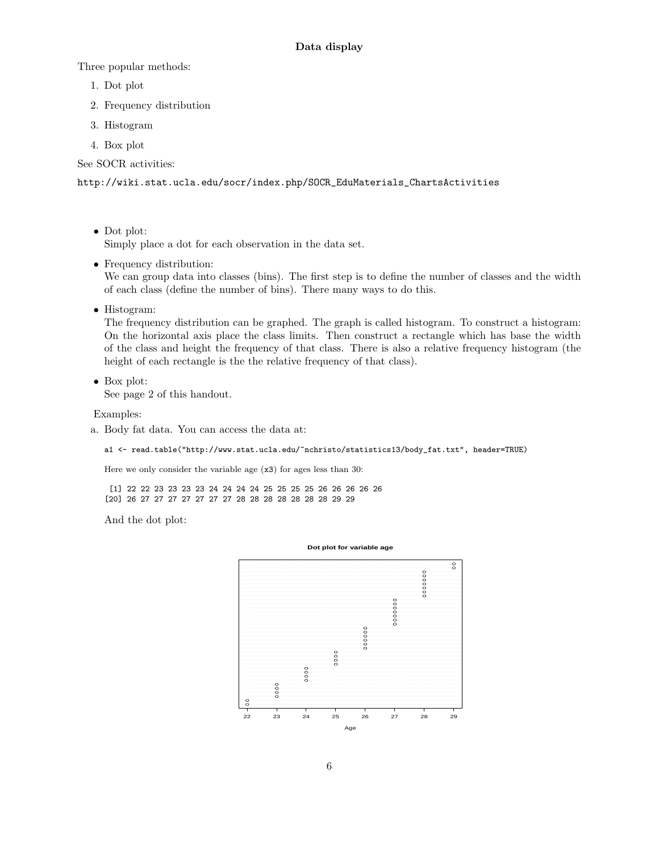Three popular methods:

- 1. Dot plot
- 2. Frequency distribution
- 3. Histogram
- 4. Box plot

See SOCR activities:

http://wiki.stat.ucla.edu/socr/index.php/SOCR\_EduMaterials\_ChartsActivities

• Dot plot:

Simply place a dot for each observation in the data set.

• Frequency distribution:

We can group data into classes (bins). The first step is to define the number of classes and the width of each class (define the number of bins). There many ways to do this.

• Histogram:

The frequency distribution can be graphed. The graph is called histogram. To construct a histogram: On the horizontal axis place the class limits. Then construct a rectangle which has base the width of the class and height the frequency of that class. There is also a relative frequency histogram (the height of each rectangle is the the relative frequency of that class).

• Box plot:

See page 2 of this handout.

Examples:

a. Body fat data. You can access the data at:

a1 <- read.table("http://www.stat.ucla.edu/"nchristo/statistics13/body\_fat.txt", header=TRUE)

Here we only consider the variable age (x3) for ages less than 30:

[1] 22 22 23 23 23 23 24 24 24 24 25 25 25 25 26 26 26 26 26 [20] 26 27 27 27 27 27 27 27 28 28 28 28 28 28 28 29 29

And the dot plot:

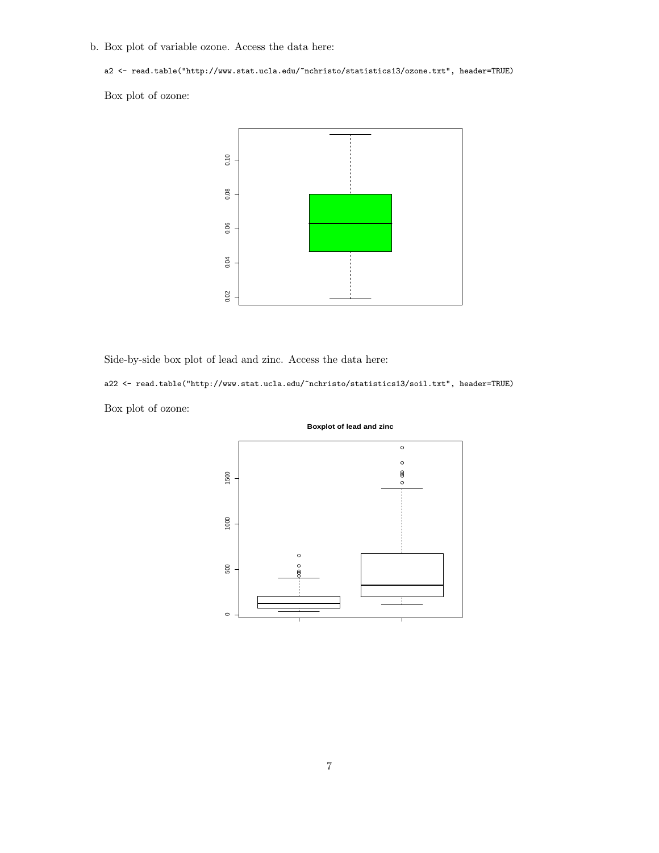## b. Box plot of variable ozone. Access the data here:

a2 <- read.table("http://www.stat.ucla.edu/~nchristo/statistics13/ozone.txt", header=TRUE)

Box plot of ozone:



Side-by-side box plot of lead and zinc. Access the data here:

a22 <- read.table("http://www.stat.ucla.edu/~nchristo/statistics13/soil.txt", header=TRUE) Box plot of ozone:



**Boxplot of lead and zinc**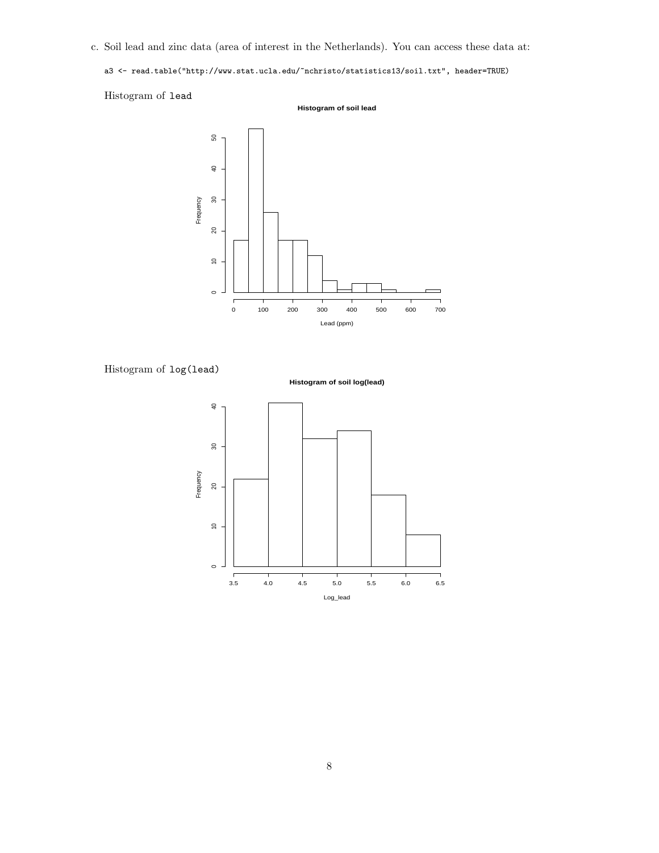c. Soil lead and zinc data (area of interest in the Netherlands). You can access these data at:

a3 <- read.table("http://www.stat.ucla.edu/~nchristo/statistics13/soil.txt", header=TRUE)



**Histogram of soil lead**



```
Histogram of log(lead)
```
**Histogram of soil log(lead)**

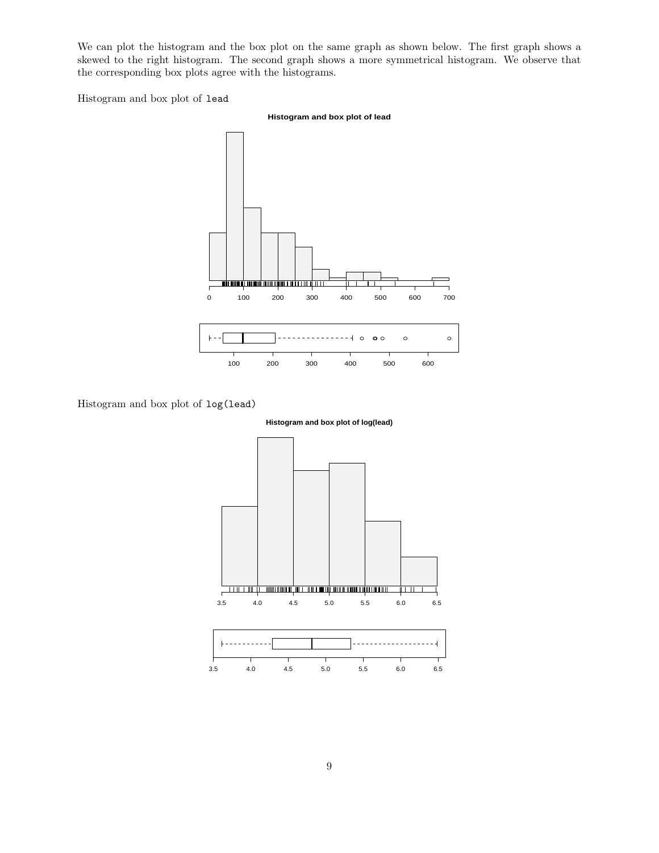We can plot the histogram and the box plot on the same graph as shown below. The first graph shows a skewed to the right histogram. The second graph shows a more symmetrical histogram. We observe that the corresponding box plots agree with the histograms.

Histogram and box plot of lead





Histogram and box plot of log(lead)



**Histogram and box plot of log(lead)**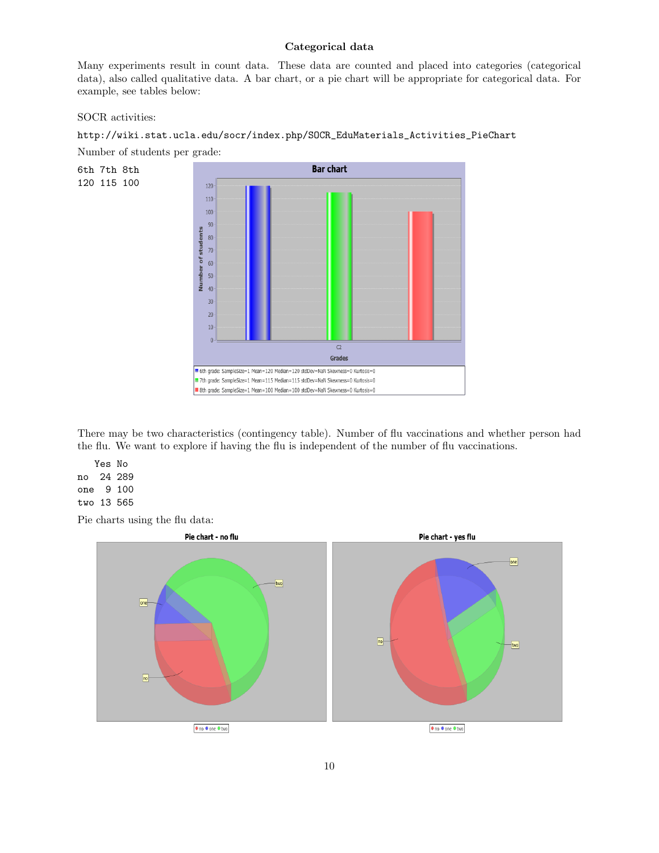## Categorical data

Many experiments result in count data. These data are counted and placed into categories (categorical data), also called qualitative data. A bar chart, or a pie chart will be appropriate for categorical data. For example, see tables below:

#### SOCR activities:

#### http://wiki.stat.ucla.edu/socr/index.php/SOCR\_EduMaterials\_Activities\_PieChart

Number of students per grade:

6th 7th 8th 120 115 100



There may be two characteristics (contingency table). Number of flu vaccinations and whether person had the flu. We want to explore if having the flu is independent of the number of flu vaccinations.

Yes No no 24 289 one 9 100 two 13 565

Pie charts using the flu data: